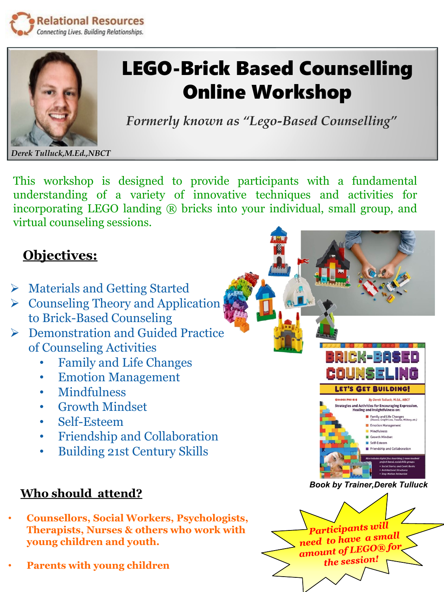



## LEGO-Brick Based Counselling Online Workshop

*Formerly known as "Lego-Based Counselling"*

*Derek Tulluck,M.Ed.,NBCT*

This workshop is designed to provide participants with a fundamental understanding of a variety of innovative techniques and activities for incorporating LEGO landing ® bricks into your individual, small group, and virtual counseling sessions.

## **Objectives:**

- ➢ Materials and Getting Started
- $\triangleright$  Counseling Theory and Application to Brick-Based Counseling
- ➢ Demonstration and Guided Practice of Counseling Activities
	- Family and Life Changes
	- Emotion Management
	- Mindfulness
	- Growth Mindset
	- Self-Esteem
	- Friendship and Collaboration
	- Building 21st Century Skills

## **Who should attend?**

- **Counsellors, Social Workers, Psychologists, Therapists, Nurses & others who work with young children and youth.**
- **Parents with young children**

*Book by Trainer,Derek Tulluck*

**ET'S GET BUILDING** 

**By Derek Tulluck, M.Ed., NBCT** egies and Activities for Encouraging Expression,<br>Healing and Insightfulness on: Family and Life Changes Emotion Management Mindfulness Growth Mindset Self-Esteem

RADES PRE-IC-8